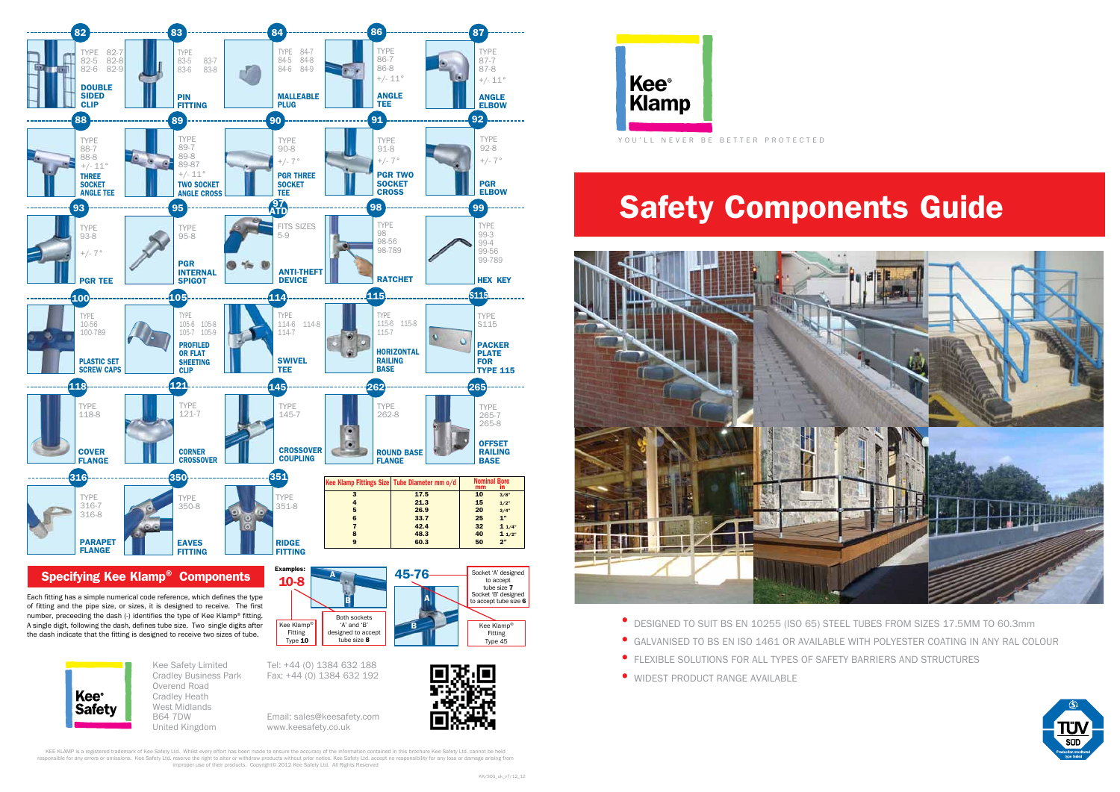## Safety Components Guide



- DESIGNED TO SUIT BS EN 10255 (ISO 65) STEEL TUBES FROM SIZES 17.5MM TO 60.3mm
- GALVANISED TO BS EN ISO 1461 OR AVAILABLE WITH POLYESTER COATING IN ANY RAL COLOUR
- FLEXIBLE SOLUTIONS FOR ALL TYPES OF SAFETY BARRIERS AND STRUCTURES
- WIDEST PRODUCT RANGE AVAILABLE

**Kee**<sup>®</sup> Klamp YOU'LL NEVER BE BETTER PROTECTED

KEE KLAMP is a registered trademark of Kee Safety Ltd. Whilst every effort has been made to ensure the accuracy of the information contained in this brochure Kee Safety Ltd. cannot be held responsible for any errors or omissions. Kee Safety Ltd. reserve the right to alter or withdraw products without prior notice. Kee Safety Ltd. accept no responsibility for any loss or damage arising from improper use of their products. Copyright© 2012 Kee Safety Ltd. All Rights Reserved







Cradley Business Park Overend Road Cradley Heath West Midlands B64 7DW United Kingdom

Fax: +44 (0) 1384 632 192

Email: sales@keesafety.com www.keesafety.co.uk